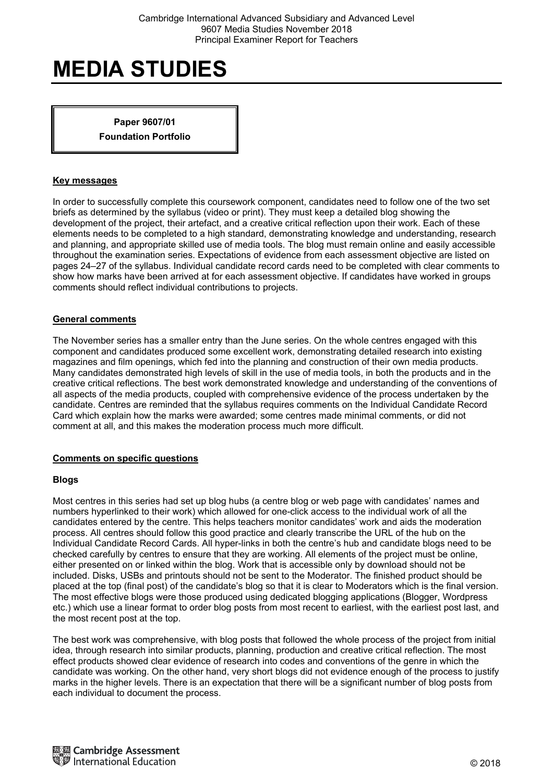**Paper 9607/01 Foundation Portfolio** 

#### **Key messages**

In order to successfully complete this coursework component, candidates need to follow one of the two set briefs as determined by the syllabus (video or print). They must keep a detailed blog showing the development of the project, their artefact, and a creative critical reflection upon their work. Each of these elements needs to be completed to a high standard, demonstrating knowledge and understanding, research and planning, and appropriate skilled use of media tools. The blog must remain online and easily accessible throughout the examination series. Expectations of evidence from each assessment objective are listed on pages 24–27 of the syllabus. Individual candidate record cards need to be completed with clear comments to show how marks have been arrived at for each assessment objective. If candidates have worked in groups comments should reflect individual contributions to projects.

#### **General comments**

The November series has a smaller entry than the June series. On the whole centres engaged with this component and candidates produced some excellent work, demonstrating detailed research into existing magazines and film openings, which fed into the planning and construction of their own media products. Many candidates demonstrated high levels of skill in the use of media tools, in both the products and in the creative critical reflections. The best work demonstrated knowledge and understanding of the conventions of all aspects of the media products, coupled with comprehensive evidence of the process undertaken by the candidate. Centres are reminded that the syllabus requires comments on the Individual Candidate Record Card which explain how the marks were awarded; some centres made minimal comments, or did not comment at all, and this makes the moderation process much more difficult.

## **Comments on specific questions**

#### **Blogs**

Most centres in this series had set up blog hubs (a centre blog or web page with candidates' names and numbers hyperlinked to their work) which allowed for one-click access to the individual work of all the candidates entered by the centre. This helps teachers monitor candidates' work and aids the moderation process. All centres should follow this good practice and clearly transcribe the URL of the hub on the Individual Candidate Record Cards. All hyper-links in both the centre's hub and candidate blogs need to be checked carefully by centres to ensure that they are working. All elements of the project must be online, either presented on or linked within the blog. Work that is accessible only by download should not be included. Disks, USBs and printouts should not be sent to the Moderator. The finished product should be placed at the top (final post) of the candidate's blog so that it is clear to Moderators which is the final version. The most effective blogs were those produced using dedicated blogging applications (Blogger, Wordpress etc.) which use a linear format to order blog posts from most recent to earliest, with the earliest post last, and the most recent post at the top.

The best work was comprehensive, with blog posts that followed the whole process of the project from initial idea, through research into similar products, planning, production and creative critical reflection. The most effect products showed clear evidence of research into codes and conventions of the genre in which the candidate was working. On the other hand, very short blogs did not evidence enough of the process to justify marks in the higher levels. There is an expectation that there will be a significant number of blog posts from each individual to document the process.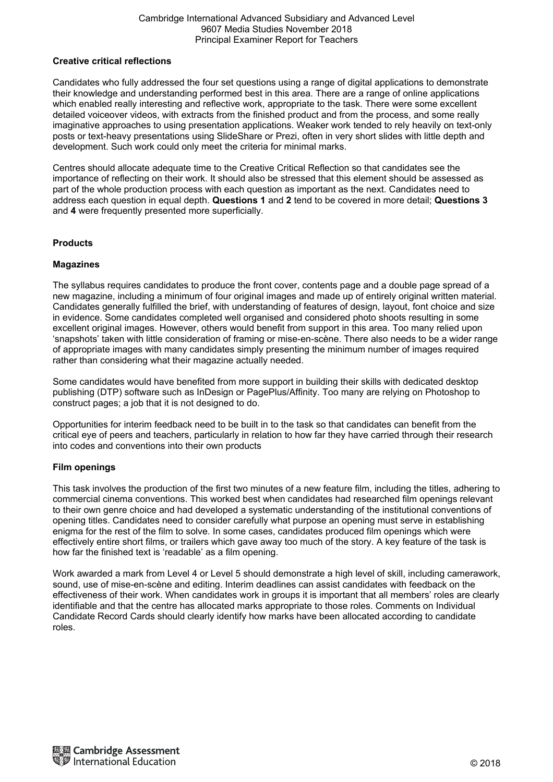#### Cambridge International Advanced Subsidiary and Advanced Level 9607 Media Studies November 2018 Principal Examiner Report for Teachers

#### **Creative critical reflections**

Candidates who fully addressed the four set questions using a range of digital applications to demonstrate their knowledge and understanding performed best in this area. There are a range of online applications which enabled really interesting and reflective work, appropriate to the task. There were some excellent detailed voiceover videos, with extracts from the finished product and from the process, and some really imaginative approaches to using presentation applications. Weaker work tended to rely heavily on text-only posts or text-heavy presentations using SlideShare or Prezi, often in very short slides with little depth and development. Such work could only meet the criteria for minimal marks.

Centres should allocate adequate time to the Creative Critical Reflection so that candidates see the importance of reflecting on their work. It should also be stressed that this element should be assessed as part of the whole production process with each question as important as the next. Candidates need to address each question in equal depth. **Questions 1** and **2** tend to be covered in more detail; **Questions 3** and **4** were frequently presented more superficially.

## **Products**

#### **Magazines**

The syllabus requires candidates to produce the front cover, contents page and a double page spread of a new magazine, including a minimum of four original images and made up of entirely original written material. Candidates generally fulfilled the brief, with understanding of features of design, layout, font choice and size in evidence. Some candidates completed well organised and considered photo shoots resulting in some excellent original images. However, others would benefit from support in this area. Too many relied upon 'snapshots' taken with little consideration of framing or mise-en-scène. There also needs to be a wider range of appropriate images with many candidates simply presenting the minimum number of images required rather than considering what their magazine actually needed.

Some candidates would have benefited from more support in building their skills with dedicated desktop publishing (DTP) software such as InDesign or PagePlus/Affinity. Too many are relying on Photoshop to construct pages; a job that it is not designed to do.

Opportunities for interim feedback need to be built in to the task so that candidates can benefit from the critical eye of peers and teachers, particularly in relation to how far they have carried through their research into codes and conventions into their own products

#### **Film openings**

This task involves the production of the first two minutes of a new feature film, including the titles, adhering to commercial cinema conventions. This worked best when candidates had researched film openings relevant to their own genre choice and had developed a systematic understanding of the institutional conventions of opening titles. Candidates need to consider carefully what purpose an opening must serve in establishing enigma for the rest of the film to solve. In some cases, candidates produced film openings which were effectively entire short films, or trailers which gave away too much of the story. A key feature of the task is how far the finished text is 'readable' as a film opening.

Work awarded a mark from Level 4 or Level 5 should demonstrate a high level of skill, including camerawork, sound, use of mise-en-scène and editing. Interim deadlines can assist candidates with feedback on the effectiveness of their work. When candidates work in groups it is important that all members' roles are clearly identifiable and that the centre has allocated marks appropriate to those roles. Comments on Individual Candidate Record Cards should clearly identify how marks have been allocated according to candidate roles.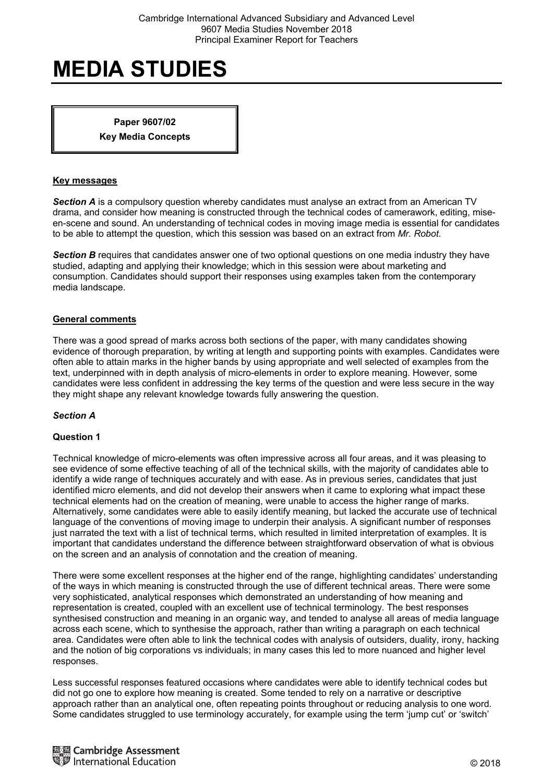**Paper 9607/02 Key Media Concepts** 

#### **Key messages**

*Section A* is a compulsory question whereby candidates must analyse an extract from an American TV drama, and consider how meaning is constructed through the technical codes of camerawork, editing, miseen-scene and sound. An understanding of technical codes in moving image media is essential for candidates to be able to attempt the question, which this session was based on an extract from *Mr. Robot*.

**Section B** requires that candidates answer one of two optional questions on one media industry they have studied, adapting and applying their knowledge; which in this session were about marketing and consumption. Candidates should support their responses using examples taken from the contemporary media landscape.

#### **General comments**

There was a good spread of marks across both sections of the paper, with many candidates showing evidence of thorough preparation, by writing at length and supporting points with examples. Candidates were often able to attain marks in the higher bands by using appropriate and well selected of examples from the text, underpinned with in depth analysis of micro-elements in order to explore meaning. However, some candidates were less confident in addressing the key terms of the question and were less secure in the way they might shape any relevant knowledge towards fully answering the question.

## *Section A*

#### **Question 1**

Technical knowledge of micro-elements was often impressive across all four areas, and it was pleasing to see evidence of some effective teaching of all of the technical skills, with the majority of candidates able to identify a wide range of techniques accurately and with ease. As in previous series, candidates that just identified micro elements, and did not develop their answers when it came to exploring what impact these technical elements had on the creation of meaning, were unable to access the higher range of marks. Alternatively, some candidates were able to easily identify meaning, but lacked the accurate use of technical language of the conventions of moving image to underpin their analysis. A significant number of responses just narrated the text with a list of technical terms, which resulted in limited interpretation of examples. It is important that candidates understand the difference between straightforward observation of what is obvious on the screen and an analysis of connotation and the creation of meaning.

There were some excellent responses at the higher end of the range, highlighting candidates' understanding of the ways in which meaning is constructed through the use of different technical areas. There were some very sophisticated, analytical responses which demonstrated an understanding of how meaning and representation is created, coupled with an excellent use of technical terminology. The best responses synthesised construction and meaning in an organic way, and tended to analyse all areas of media language across each scene, which to synthesise the approach, rather than writing a paragraph on each technical area. Candidates were often able to link the technical codes with analysis of outsiders, duality, irony, hacking and the notion of big corporations vs individuals; in many cases this led to more nuanced and higher level responses.

Less successful responses featured occasions where candidates were able to identify technical codes but did not go one to explore how meaning is created. Some tended to rely on a narrative or descriptive approach rather than an analytical one, often repeating points throughout or reducing analysis to one word. Some candidates struggled to use terminology accurately, for example using the term 'jump cut' or 'switch'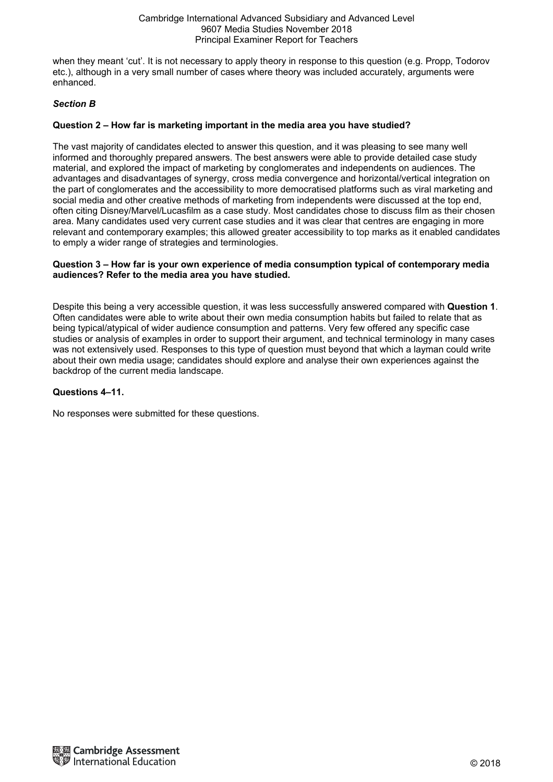when they meant 'cut'. It is not necessary to apply theory in response to this question (e.g. Propp, Todorov etc.), although in a very small number of cases where theory was included accurately, arguments were enhanced.

# *Section B*

# **Question 2 – How far is marketing important in the media area you have studied?**

The vast majority of candidates elected to answer this question, and it was pleasing to see many well informed and thoroughly prepared answers. The best answers were able to provide detailed case study material, and explored the impact of marketing by conglomerates and independents on audiences. The advantages and disadvantages of synergy, cross media convergence and horizontal/vertical integration on the part of conglomerates and the accessibility to more democratised platforms such as viral marketing and social media and other creative methods of marketing from independents were discussed at the top end, often citing Disney/Marvel/Lucasfilm as a case study. Most candidates chose to discuss film as their chosen area. Many candidates used very current case studies and it was clear that centres are engaging in more relevant and contemporary examples; this allowed greater accessibility to top marks as it enabled candidates to emply a wider range of strategies and terminologies.

### **Question 3 – How far is your own experience of media consumption typical of contemporary media audiences? Refer to the media area you have studied.**

Despite this being a very accessible question, it was less successfully answered compared with **Question 1**. Often candidates were able to write about their own media consumption habits but failed to relate that as being typical/atypical of wider audience consumption and patterns. Very few offered any specific case studies or analysis of examples in order to support their argument, and technical terminology in many cases was not extensively used. Responses to this type of question must beyond that which a layman could write about their own media usage; candidates should explore and analyse their own experiences against the backdrop of the current media landscape.

## **Questions 4–11.**

No responses were submitted for these questions.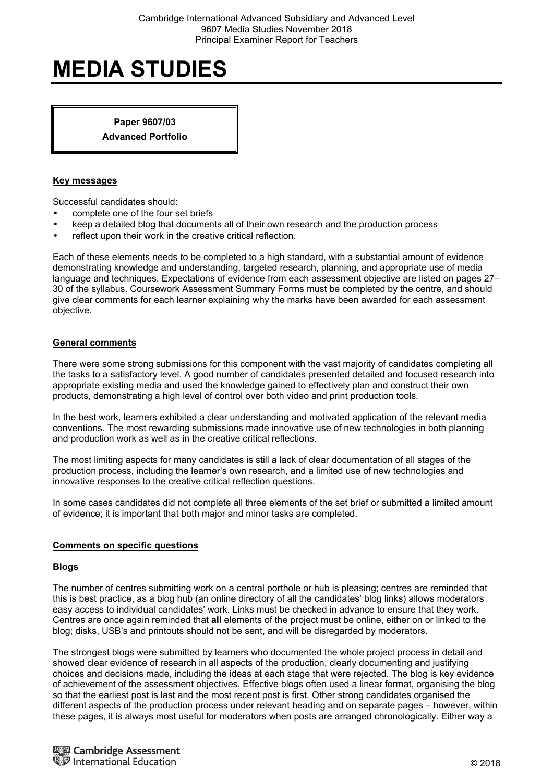**Paper 9607/03 Advanced Portfolio** 

### **Key messages**

Successful candidates should:

- complete one of the four set briefs
- keep a detailed blog that documents all of their own research and the production process
- reflect upon their work in the creative critical reflection.

Each of these elements needs to be completed to a high standard, with a substantial amount of evidence demonstrating knowledge and understanding, targeted research, planning, and appropriate use of media language and techniques. Expectations of evidence from each assessment objective are listed on pages 27– 30 of the syllabus. Coursework Assessment Summary Forms must be completed by the centre, and should give clear comments for each learner explaining why the marks have been awarded for each assessment objective.

#### **General comments**

There were some strong submissions for this component with the vast majority of candidates completing all the tasks to a satisfactory level. A good number of candidates presented detailed and focused research into appropriate existing media and used the knowledge gained to effectively plan and construct their own products, demonstrating a high level of control over both video and print production tools.

In the best work, learners exhibited a clear understanding and motivated application of the relevant media conventions. The most rewarding submissions made innovative use of new technologies in both planning and production work as well as in the creative critical reflections.

The most limiting aspects for many candidates is still a lack of clear documentation of all stages of the production process, including the learner's own research, and a limited use of new technologies and innovative responses to the creative critical reflection questions.

In some cases candidates did not complete all three elements of the set brief or submitted a limited amount of evidence; it is important that both major and minor tasks are completed.

#### **Comments on specific questions**

#### **Blogs**

The number of centres submitting work on a central porthole or hub is pleasing; centres are reminded that this is best practice, as a blog hub (an online directory of all the candidates' blog links) allows moderators easy access to individual candidates' work. Links must be checked in advance to ensure that they work. Centres are once again reminded that **all** elements of the project must be online, either on or linked to the blog; disks, USB's and printouts should not be sent, and will be disregarded by moderators.

The strongest blogs were submitted by learners who documented the whole project process in detail and showed clear evidence of research in all aspects of the production, clearly documenting and justifying choices and decisions made, including the ideas at each stage that were rejected. The blog is key evidence of achievement of the assessment objectives. Effective blogs often used a linear format, organising the blog so that the earliest post is last and the most recent post is first. Other strong candidates organised the different aspects of the production process under relevant heading and on separate pages – however, within these pages, it is always most useful for moderators when posts are arranged chronologically. Either way a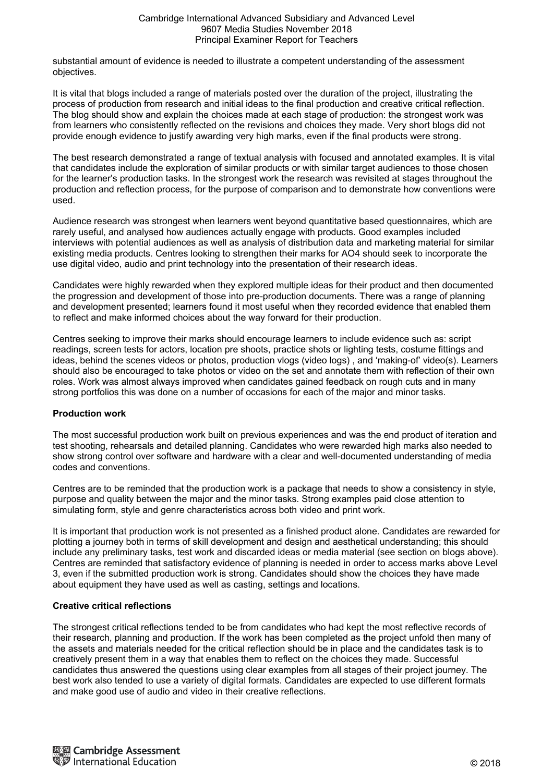substantial amount of evidence is needed to illustrate a competent understanding of the assessment objectives.

It is vital that blogs included a range of materials posted over the duration of the project, illustrating the process of production from research and initial ideas to the final production and creative critical reflection. The blog should show and explain the choices made at each stage of production: the strongest work was from learners who consistently reflected on the revisions and choices they made. Very short blogs did not provide enough evidence to justify awarding very high marks, even if the final products were strong.

The best research demonstrated a range of textual analysis with focused and annotated examples. It is vital that candidates include the exploration of similar products or with similar target audiences to those chosen for the learner's production tasks. In the strongest work the research was revisited at stages throughout the production and reflection process, for the purpose of comparison and to demonstrate how conventions were used.

Audience research was strongest when learners went beyond quantitative based questionnaires, which are rarely useful, and analysed how audiences actually engage with products. Good examples included interviews with potential audiences as well as analysis of distribution data and marketing material for similar existing media products. Centres looking to strengthen their marks for AO4 should seek to incorporate the use digital video, audio and print technology into the presentation of their research ideas.

Candidates were highly rewarded when they explored multiple ideas for their product and then documented the progression and development of those into pre-production documents. There was a range of planning and development presented; learners found it most useful when they recorded evidence that enabled them to reflect and make informed choices about the way forward for their production.

Centres seeking to improve their marks should encourage learners to include evidence such as: script readings, screen tests for actors, location pre shoots, practice shots or lighting tests, costume fittings and ideas, behind the scenes videos or photos, production vlogs (video logs) , and 'making-of' video(s). Learners should also be encouraged to take photos or video on the set and annotate them with reflection of their own roles. Work was almost always improved when candidates gained feedback on rough cuts and in many strong portfolios this was done on a number of occasions for each of the major and minor tasks.

## **Production work**

The most successful production work built on previous experiences and was the end product of iteration and test shooting, rehearsals and detailed planning. Candidates who were rewarded high marks also needed to show strong control over software and hardware with a clear and well-documented understanding of media codes and conventions.

Centres are to be reminded that the production work is a package that needs to show a consistency in style, purpose and quality between the major and the minor tasks. Strong examples paid close attention to simulating form, style and genre characteristics across both video and print work.

It is important that production work is not presented as a finished product alone. Candidates are rewarded for plotting a journey both in terms of skill development and design and aesthetical understanding; this should include any preliminary tasks, test work and discarded ideas or media material (see section on blogs above). Centres are reminded that satisfactory evidence of planning is needed in order to access marks above Level 3, even if the submitted production work is strong. Candidates should show the choices they have made about equipment they have used as well as casting, settings and locations.

## **Creative critical reflections**

The strongest critical reflections tended to be from candidates who had kept the most reflective records of their research, planning and production. If the work has been completed as the project unfold then many of the assets and materials needed for the critical reflection should be in place and the candidates task is to creatively present them in a way that enables them to reflect on the choices they made. Successful candidates thus answered the questions using clear examples from all stages of their project journey. The best work also tended to use a variety of digital formats. Candidates are expected to use different formats and make good use of audio and video in their creative reflections.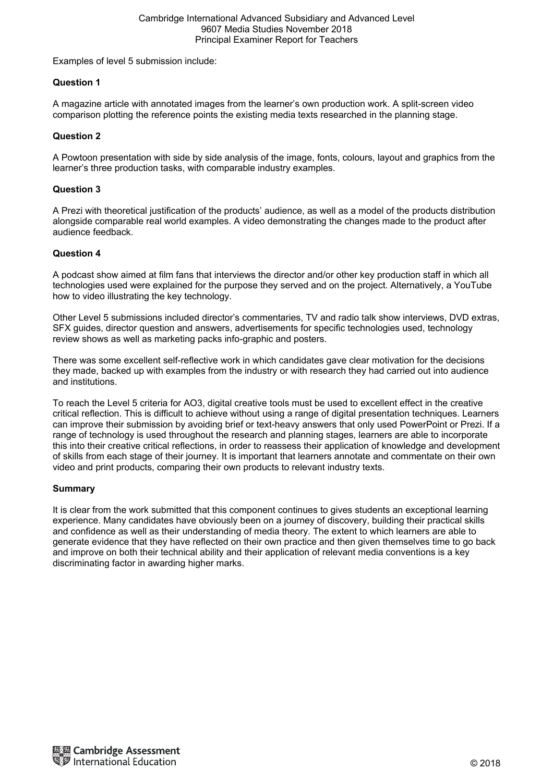#### Cambridge International Advanced Subsidiary and Advanced Level 9607 Media Studies November 2018 Principal Examiner Report for Teachers

Examples of level 5 submission include:

## **Question 1**

A magazine article with annotated images from the learner's own production work. A split-screen video comparison plotting the reference points the existing media texts researched in the planning stage.

## **Question 2**

A Powtoon presentation with side by side analysis of the image, fonts, colours, layout and graphics from the learner's three production tasks, with comparable industry examples.

### **Question 3**

A Prezi with theoretical justification of the products' audience, as well as a model of the products distribution alongside comparable real world examples. A video demonstrating the changes made to the product after audience feedback.

#### **Question 4**

A podcast show aimed at film fans that interviews the director and/or other key production staff in which all technologies used were explained for the purpose they served and on the project. Alternatively, a YouTube how to video illustrating the key technology.

Other Level 5 submissions included director's commentaries, TV and radio talk show interviews, DVD extras, SFX guides, director question and answers, advertisements for specific technologies used, technology review shows as well as marketing packs info-graphic and posters.

There was some excellent self-reflective work in which candidates gave clear motivation for the decisions they made, backed up with examples from the industry or with research they had carried out into audience and institutions.

To reach the Level 5 criteria for AO3, digital creative tools must be used to excellent effect in the creative critical reflection. This is difficult to achieve without using a range of digital presentation techniques. Learners can improve their submission by avoiding brief or text-heavy answers that only used PowerPoint or Prezi. If a range of technology is used throughout the research and planning stages, learners are able to incorporate this into their creative critical reflections, in order to reassess their application of knowledge and development of skills from each stage of their journey. It is important that learners annotate and commentate on their own video and print products, comparing their own products to relevant industry texts.

#### **Summary**

It is clear from the work submitted that this component continues to gives students an exceptional learning experience. Many candidates have obviously been on a journey of discovery, building their practical skills and confidence as well as their understanding of media theory. The extent to which learners are able to generate evidence that they have reflected on their own practice and then given themselves time to go back and improve on both their technical ability and their application of relevant media conventions is a key discriminating factor in awarding higher marks.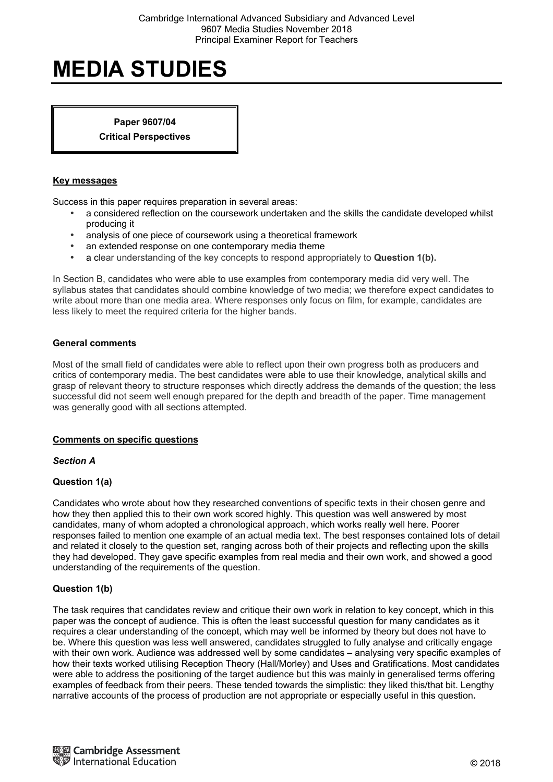**Paper 9607/04 Critical Perspectives** 

### **Key messages**

Success in this paper requires preparation in several areas:

- a considered reflection on the coursework undertaken and the skills the candidate developed whilst producing it
- analysis of one piece of coursework using a theoretical framework
- an extended response on one contemporary media theme
- a clear understanding of the key concepts to respond appropriately to **Question 1(b).**

In Section B, candidates who were able to use examples from contemporary media did very well. The syllabus states that candidates should combine knowledge of two media; we therefore expect candidates to write about more than one media area. Where responses only focus on film, for example, candidates are less likely to meet the required criteria for the higher bands.

#### **General comments**

Most of the small field of candidates were able to reflect upon their own progress both as producers and critics of contemporary media. The best candidates were able to use their knowledge, analytical skills and grasp of relevant theory to structure responses which directly address the demands of the question; the less successful did not seem well enough prepared for the depth and breadth of the paper. Time management was generally good with all sections attempted.

## **Comments on specific questions**

*Section A* 

## **Question 1(a)**

Candidates who wrote about how they researched conventions of specific texts in their chosen genre and how they then applied this to their own work scored highly. This question was well answered by most candidates, many of whom adopted a chronological approach, which works really well here. Poorer responses failed to mention one example of an actual media text. The best responses contained lots of detail and related it closely to the question set, ranging across both of their projects and reflecting upon the skills they had developed. They gave specific examples from real media and their own work, and showed a good understanding of the requirements of the question.

## **Question 1(b)**

The task requires that candidates review and critique their own work in relation to key concept, which in this paper was the concept of audience. This is often the least successful question for many candidates as it requires a clear understanding of the concept, which may well be informed by theory but does not have to be. Where this question was less well answered, candidates struggled to fully analyse and critically engage with their own work. Audience was addressed well by some candidates – analysing very specific examples of how their texts worked utilising Reception Theory (Hall/Morley) and Uses and Gratifications. Most candidates were able to address the positioning of the target audience but this was mainly in generalised terms offering examples of feedback from their peers. These tended towards the simplistic: they liked this/that bit. Lengthy narrative accounts of the process of production are not appropriate or especially useful in this question**.**